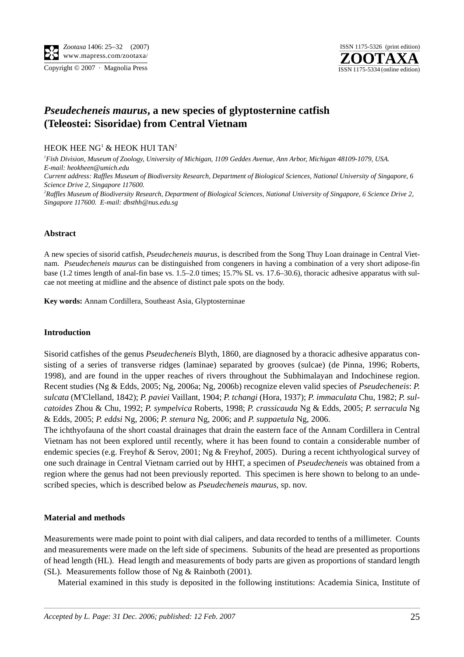



# *Pseudecheneis maurus***, a new species of glyptosternine catfish (Teleostei: Sisoridae) from Central Vietnam**

# HEOK HEE  $NG<sup>1</sup>$  & HEOK HUI TAN<sup>2</sup>

*1 Fish Division, Museum of Zoology, University of Michigan, 1109 Geddes Avenue, Ann Arbor, Michigan 48109-1079, USA. E-mail: heokheen@umich.edu Current address: Raffles Museum of Biodiversity Research, Department of Biological Sciences, National University of Singapore, 6 Science Drive 2, Singapore 117600.*

*2 Raffles Museum of Biodiversity Research, Department of Biological Sciences, National University of Singapore, 6 Science Drive 2, Singapore 117600. E-mail: dbsthh@nus.edu.sg*

# **Abstract**

A new species of sisorid catfish, *Pseudecheneis maurus*, is described from the Song Thuy Loan drainage in Central Vietnam. *Pseudecheneis maurus* can be distinguished from congeners in having a combination of a very short adipose-fin base (1.2 times length of anal-fin base vs. 1.5–2.0 times; 15.7% SL vs. 17.6–30.6), thoracic adhesive apparatus with sulcae not meeting at midline and the absence of distinct pale spots on the body.

**Key words:** Annam Cordillera, Southeast Asia, Glyptosterninae

#### **Introduction**

Sisorid catfishes of the genus *Pseudecheneis* Blyth, 1860, are diagnosed by a thoracic adhesive apparatus consisting of a series of transverse ridges (laminae) separated by grooves (sulcae) (de Pinna, 1996; Roberts, 1998), and are found in the upper reaches of rivers throughout the Subhimalayan and Indochinese region. Recent studies (Ng & Edds, 2005; Ng, 2006a; Ng, 2006b) recognize eleven valid species of *Pseudecheneis*: *P. sulcata* (M'Clelland, 1842); *P. paviei* Vaillant, 1904; *P. tchangi* (Hora, 1937); *P. immaculata* Chu, 1982; *P. sulcatoides* Zhou & Chu, 1992; *P. sympelvica* Roberts, 1998; *P. crassicauda* Ng & Edds, 2005; *P. serracula* Ng & Edds, 2005; *P. eddsi* Ng, 2006; *P. stenura* Ng, 2006; and *P. suppaetula* Ng, 2006.

The ichthyofauna of the short coastal drainages that drain the eastern face of the Annam Cordillera in Central Vietnam has not been explored until recently, where it has been found to contain a considerable number of endemic species (e.g. Freyhof & Serov, 2001; Ng & Freyhof, 2005). During a recent ichthyological survey of one such drainage in Central Vietnam carried out by HHT, a specimen of *Pseudecheneis* was obtained from a region where the genus had not been previously reported. This specimen is here shown to belong to an undescribed species, which is described below as *Pseudecheneis maurus*, sp. nov.

#### **Material and methods**

Measurements were made point to point with dial calipers, and data recorded to tenths of a millimeter. Counts and measurements were made on the left side of specimens. Subunits of the head are presented as proportions of head length (HL). Head length and measurements of body parts are given as proportions of standard length (SL). Measurements follow those of Ng & Rainboth (2001).

Material examined in this study is deposited in the following institutions: Academia Sinica, Institute of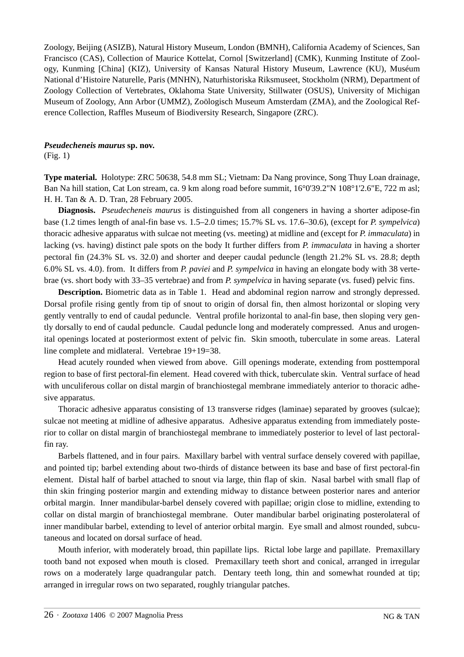Zoology, Beijing (ASIZB), Natural History Museum, London (BMNH), California Academy of Sciences, San Francisco (CAS), Collection of Maurice Kottelat, Cornol [Switzerland] (CMK), Kunming Institute of Zoology, Kunming [China] (KIZ), University of Kansas Natural History Museum, Lawrence (KU), Muséum National d'Histoire Naturelle, Paris (MNHN), Naturhistoriska Riksmuseet, Stockholm (NRM), Department of Zoology Collection of Vertebrates, Oklahoma State University, Stillwater (OSUS), University of Michigan Museum of Zoology, Ann Arbor (UMMZ), Zoölogisch Museum Amsterdam (ZMA), and the Zoological Reference Collection, Raffles Museum of Biodiversity Research, Singapore (ZRC).

# *Pseudecheneis maurus* **sp. nov.**

(Fig. 1)

**Type material.** Holotype: ZRC 50638, 54.8 mm SL; Vietnam: Da Nang province, Song Thuy Loan drainage, Ban Na hill station, Cat Lon stream, ca. 9 km along road before summit, 16°0'39.2"N 108°1'2.6"E, 722 m asl; H. H. Tan & A. D. Tran, 28 February 2005.

**Diagnosis.** *Pseudecheneis maurus* is distinguished from all congeners in having a shorter adipose-fin base (1.2 times length of anal-fin base vs. 1.5–2.0 times; 15.7% SL vs. 17.6–30.6), (except for *P. sympelvica*) thoracic adhesive apparatus with sulcae not meeting (vs. meeting) at midline and (except for *P. immaculata*) in lacking (vs. having) distinct pale spots on the body It further differs from *P. immaculata* in having a shorter pectoral fin (24.3% SL vs. 32.0) and shorter and deeper caudal peduncle (length 21.2% SL vs. 28.8; depth 6.0% SL vs. 4.0). from. It differs from *P. paviei* and *P. sympelvica* in having an elongate body with 38 vertebrae (vs. short body with 33–35 vertebrae) and from *P. sympelvica* in having separate (vs. fused) pelvic fins.

**Description.** Biometric data as in Table 1. Head and abdominal region narrow and strongly depressed. Dorsal profile rising gently from tip of snout to origin of dorsal fin, then almost horizontal or sloping very gently ventrally to end of caudal peduncle. Ventral profile horizontal to anal-fin base, then sloping very gently dorsally to end of caudal peduncle. Caudal peduncle long and moderately compressed. Anus and urogenital openings located at posteriormost extent of pelvic fin. Skin smooth, tuberculate in some areas. Lateral line complete and midlateral. Vertebrae 19+19=38.

Head acutely rounded when viewed from above. Gill openings moderate, extending from posttemporal region to base of first pectoral-fin element. Head covered with thick, tuberculate skin. Ventral surface of head with unculiferous collar on distal margin of branchiostegal membrane immediately anterior to thoracic adhesive apparatus.

Thoracic adhesive apparatus consisting of 13 transverse ridges (laminae) separated by grooves (sulcae); sulcae not meeting at midline of adhesive apparatus. Adhesive apparatus extending from immediately posterior to collar on distal margin of branchiostegal membrane to immediately posterior to level of last pectoralfin ray.

Barbels flattened, and in four pairs. Maxillary barbel with ventral surface densely covered with papillae, and pointed tip; barbel extending about two-thirds of distance between its base and base of first pectoral-fin element. Distal half of barbel attached to snout via large, thin flap of skin. Nasal barbel with small flap of thin skin fringing posterior margin and extending midway to distance between posterior nares and anterior orbital margin. Inner mandibular-barbel densely covered with papillae; origin close to midline, extending to collar on distal margin of branchiostegal membrane. Outer mandibular barbel originating posterolateral of inner mandibular barbel, extending to level of anterior orbital margin. Eye small and almost rounded, subcutaneous and located on dorsal surface of head.

Mouth inferior, with moderately broad, thin papillate lips. Rictal lobe large and papillate. Premaxillary tooth band not exposed when mouth is closed. Premaxillary teeth short and conical, arranged in irregular rows on a moderately large quadrangular patch. Dentary teeth long, thin and somewhat rounded at tip; arranged in irregular rows on two separated, roughly triangular patches.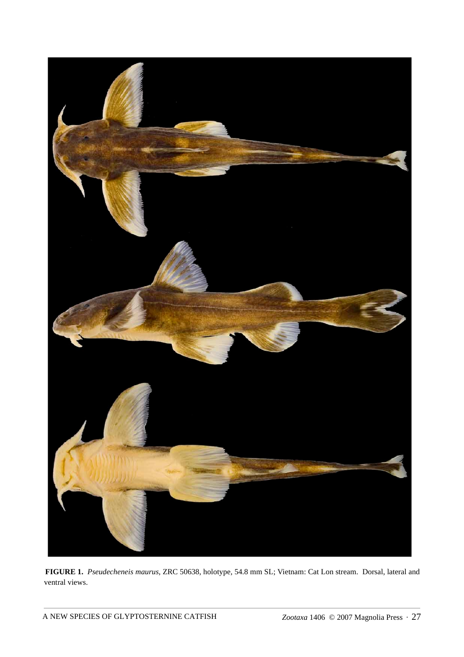

**FIGURE 1.** *Pseudecheneis maurus*, ZRC 50638, holotype, 54.8 mm SL; Vietnam: Cat Lon stream. Dorsal, lateral and ventral views.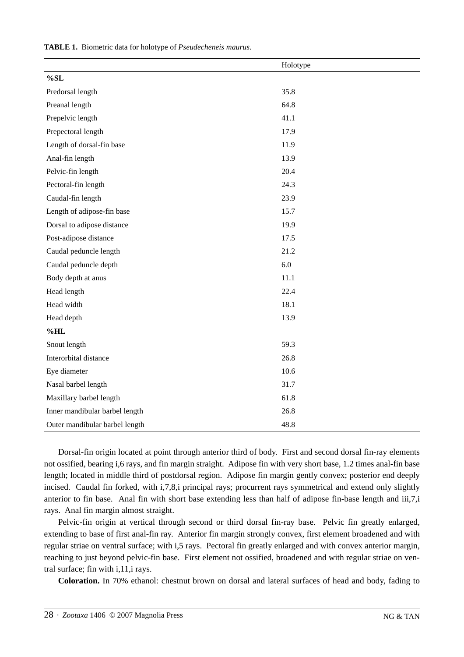|                                | Holotype |
|--------------------------------|----------|
| $\%$ SL                        |          |
| Predorsal length               | 35.8     |
| Preanal length                 | 64.8     |
| Prepelvic length               | 41.1     |
| Prepectoral length             | 17.9     |
| Length of dorsal-fin base      | 11.9     |
| Anal-fin length                | 13.9     |
| Pelvic-fin length              | 20.4     |
| Pectoral-fin length            | 24.3     |
| Caudal-fin length              | 23.9     |
| Length of adipose-fin base     | 15.7     |
| Dorsal to adipose distance     | 19.9     |
| Post-adipose distance          | 17.5     |
| Caudal peduncle length         | 21.2     |
| Caudal peduncle depth          | 6.0      |
| Body depth at anus             | 11.1     |
| Head length                    | 22.4     |
| Head width                     | 18.1     |
| Head depth                     | 13.9     |
| $%$ HL                         |          |
| Snout length                   | 59.3     |
| Interorbital distance          | 26.8     |
| Eye diameter                   | 10.6     |
| Nasal barbel length            | 31.7     |
| Maxillary barbel length        | 61.8     |
| Inner mandibular barbel length | 26.8     |
| Outer mandibular barbel length | 48.8     |

**TABLE 1.** Biometric data for holotype of *Pseudecheneis maurus*.

Dorsal-fin origin located at point through anterior third of body. First and second dorsal fin-ray elements not ossified, bearing i,6 rays, and fin margin straight. Adipose fin with very short base, 1.2 times anal-fin base length; located in middle third of postdorsal region. Adipose fin margin gently convex; posterior end deeply incised. Caudal fin forked, with i,7,8,i principal rays; procurrent rays symmetrical and extend only slightly anterior to fin base. Anal fin with short base extending less than half of adipose fin-base length and iii,7,i rays. Anal fin margin almost straight.

Pelvic-fin origin at vertical through second or third dorsal fin-ray base. Pelvic fin greatly enlarged, extending to base of first anal-fin ray. Anterior fin margin strongly convex, first element broadened and with regular striae on ventral surface; with i,5 rays. Pectoral fin greatly enlarged and with convex anterior margin, reaching to just beyond pelvic-fin base. First element not ossified, broadened and with regular striae on ventral surface; fin with i,11,i rays.

**Coloration.** In 70% ethanol: chestnut brown on dorsal and lateral surfaces of head and body, fading to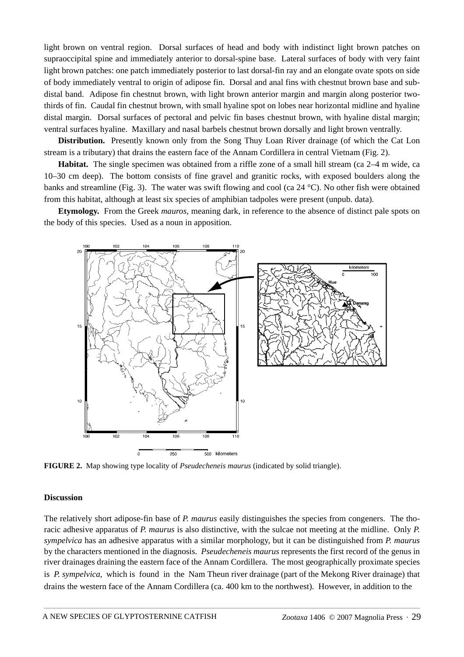light brown on ventral region. Dorsal surfaces of head and body with indistinct light brown patches on supraoccipital spine and immediately anterior to dorsal-spine base. Lateral surfaces of body with very faint light brown patches: one patch immediately posterior to last dorsal-fin ray and an elongate ovate spots on side of body immediately ventral to origin of adipose fin. Dorsal and anal fins with chestnut brown base and subdistal band. Adipose fin chestnut brown, with light brown anterior margin and margin along posterior twothirds of fin. Caudal fin chestnut brown, with small hyaline spot on lobes near horizontal midline and hyaline distal margin. Dorsal surfaces of pectoral and pelvic fin bases chestnut brown, with hyaline distal margin; ventral surfaces hyaline. Maxillary and nasal barbels chestnut brown dorsally and light brown ventrally.

**Distribution.** Presently known only from the Song Thuy Loan River drainage (of which the Cat Lon stream is a tributary) that drains the eastern face of the Annam Cordillera in central Vietnam (Fig. 2).

**Habitat.** The single specimen was obtained from a riffle zone of a small hill stream (ca 2–4 m wide, ca 10–30 cm deep). The bottom consists of fine gravel and granitic rocks, with exposed boulders along the banks and streamline (Fig. 3). The water was swift flowing and cool (ca 24 °C). No other fish were obtained from this habitat, although at least six species of amphibian tadpoles were present (unpub. data).

**Etymology.** From the Greek *mauros*, meaning dark, in reference to the absence of distinct pale spots on the body of this species. Used as a noun in apposition.



**FIGURE 2.** Map showing type locality of *Pseudecheneis maurus* (indicated by solid triangle).

#### **Discussion**

The relatively short adipose-fin base of *P. maurus* easily distinguishes the species from congeners. The thoracic adhesive apparatus of *P. maurus* is also distinctive, with the sulcae not meeting at the midline. Only *P. sympelvica* has an adhesive apparatus with a similar morphology, but it can be distinguished from *P. maurus* by the characters mentioned in the diagnosis. *Pseudecheneis maurus* represents the first record of the genus in river drainages draining the eastern face of the Annam Cordillera. The most geographically proximate species is *P. sympelvica*, which is found in the Nam Theun river drainage (part of the Mekong River drainage) that drains the western face of the Annam Cordillera (ca. 400 km to the northwest). However, in addition to the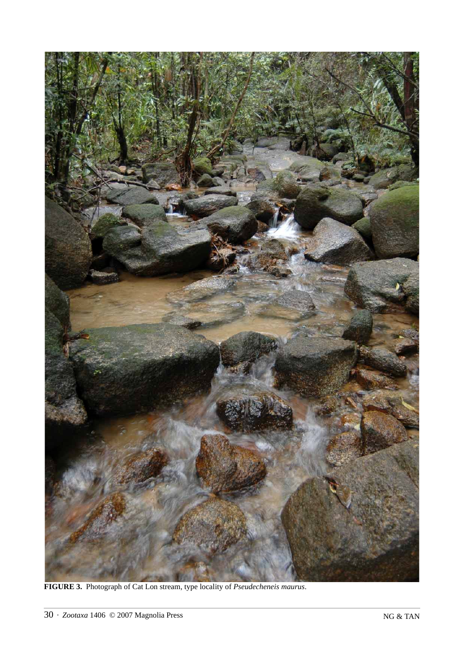

**FIGURE 3.** Photograph of Cat Lon stream, type locality of *Pseudecheneis maurus*.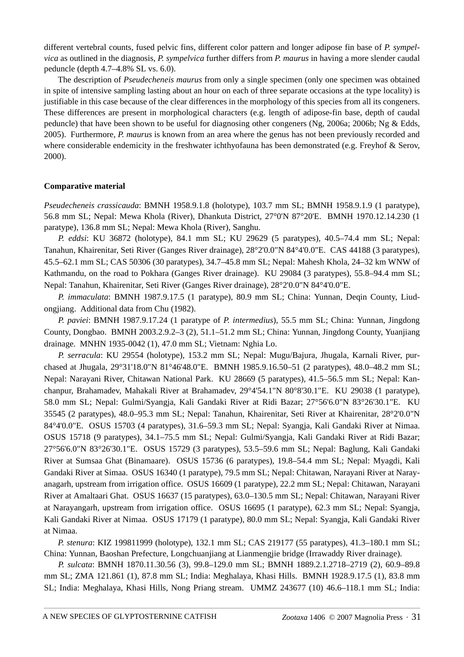different vertebral counts, fused pelvic fins, different color pattern and longer adipose fin base of *P. sympelvica* as outlined in the diagnosis, *P. sympelvica* further differs from *P. maurus* in having a more slender caudal peduncle (depth 4.7–4.8% SL vs. 6.0).

The description of *Pseudecheneis maurus* from only a single specimen (only one specimen was obtained in spite of intensive sampling lasting about an hour on each of three separate occasions at the type locality) is justifiable in this case because of the clear differences in the morphology of this species from all its congeners. These differences are present in morphological characters (e.g. length of adipose-fin base, depth of caudal peduncle) that have been shown to be useful for diagnosing other congeners (Ng, 2006a; 2006b; Ng & Edds, 2005). Furthermore, *P. maurus* is known from an area where the genus has not been previously recorded and where considerable endemicity in the freshwater ichthyofauna has been demonstrated (e.g. Freyhof & Serov, 2000).

# **Comparative material**

*Pseudecheneis crassicauda*: BMNH 1958.9.1.8 (holotype), 103.7 mm SL; BMNH 1958.9.1.9 (1 paratype), 56.8 mm SL; Nepal: Mewa Khola (River), Dhankuta District, 27°0'N 87°20'E. BMNH 1970.12.14.230 (1 paratype), 136.8 mm SL; Nepal: Mewa Khola (River), Sanghu.

*P. eddsi*: KU 36872 (holotype), 84.1 mm SL; KU 29629 (5 paratypes), 40.5–74.4 mm SL; Nepal: Tanahun, Khairenitar, Seti River (Ganges River drainage), 28°2'0.0"N 84°4'0.0"E. CAS 44188 (3 paratypes), 45.5–62.1 mm SL; CAS 50306 (30 paratypes), 34.7–45.8 mm SL; Nepal: Mahesh Khola, 24–32 km WNW of Kathmandu, on the road to Pokhara (Ganges River drainage). KU 29084 (3 paratypes), 55.8–94.4 mm SL; Nepal: Tanahun, Khairenitar, Seti River (Ganges River drainage), 28°2'0.0"N 84°4'0.0"E.

*P. immaculata*: BMNH 1987.9.17.5 (1 paratype), 80.9 mm SL; China: Yunnan, Deqin County, Liudongjiang. Additional data from Chu (1982).

*P. paviei*: BMNH 1987.9.17.24 (1 paratype of *P. intermedius*), 55.5 mm SL; China: Yunnan, Jingdong County, Dongbao. BMNH 2003.2.9.2–3 (2), 51.1–51.2 mm SL; China: Yunnan, Jingdong County, Yuanjiang drainage. MNHN 1935-0042 (1), 47.0 mm SL; Vietnam: Nghia Lo.

*P. serracula*: KU 29554 (holotype), 153.2 mm SL; Nepal: Mugu/Bajura, Jhugala, Karnali River, purchased at Jhugala, 29°31'18.0"N 81°46'48.0"E. BMNH 1985.9.16.50–51 (2 paratypes), 48.0–48.2 mm SL; Nepal: Narayani River, Chitawan National Park. KU 28669 (5 paratypes), 41.5–56.5 mm SL; Nepal: Kanchanpur, Brahamadev, Mahakali River at Brahamadev, 29°4'54.1"N 80°8'30.1"E. KU 29038 (1 paratype), 58.0 mm SL; Nepal: Gulmi/Syangja, Kali Gandaki River at Ridi Bazar; 27°56'6.0"N 83°26'30.1"E. KU 35545 (2 paratypes), 48.0–95.3 mm SL; Nepal: Tanahun, Khairenitar, Seti River at Khairenitar, 28°2'0.0"N 84°4'0.0"E. OSUS 15703 (4 paratypes), 31.6–59.3 mm SL; Nepal: Syangja, Kali Gandaki River at Nimaa. OSUS 15718 (9 paratypes), 34.1–75.5 mm SL; Nepal: Gulmi/Syangja, Kali Gandaki River at Ridi Bazar; 27°56'6.0"N 83°26'30.1"E. OSUS 15729 (3 paratypes), 53.5–59.6 mm SL; Nepal: Baglung, Kali Gandaki River at Sumsaa Ghat (Binamaare). OSUS 15736 (6 paratypes), 19.8–54.4 mm SL; Nepal: Myagdi, Kali Gandaki River at Simaa. OSUS 16340 (1 paratype), 79.5 mm SL; Nepal: Chitawan, Narayani River at Narayanagarh, upstream from irrigation office. OSUS 16609 (1 paratype), 22.2 mm SL; Nepal: Chitawan, Narayani River at Amaltaari Ghat. OSUS 16637 (15 paratypes), 63.0–130.5 mm SL; Nepal: Chitawan, Narayani River at Narayangarh, upstream from irrigation office. OSUS 16695 (1 paratype), 62.3 mm SL; Nepal: Syangja, Kali Gandaki River at Nimaa. OSUS 17179 (1 paratype), 80.0 mm SL; Nepal: Syangja, Kali Gandaki River at Nimaa.

*P. stenura*: KIZ 199811999 (holotype), 132.1 mm SL; CAS 219177 (55 paratypes), 41.3–180.1 mm SL; China: Yunnan, Baoshan Prefecture, Longchuanjiang at Lianmengjie bridge (Irrawaddy River drainage).

*P. sulcata*: BMNH 1870.11.30.56 (3), 99.8–129.0 mm SL; BMNH 1889.2.1.2718–2719 (2), 60.9–89.8 mm SL; ZMA 121.861 (1), 87.8 mm SL; India: Meghalaya, Khasi Hills. BMNH 1928.9.17.5 (1), 83.8 mm SL; India: Meghalaya, Khasi Hills, Nong Priang stream. UMMZ 243677 (10) 46.6–118.1 mm SL; India: